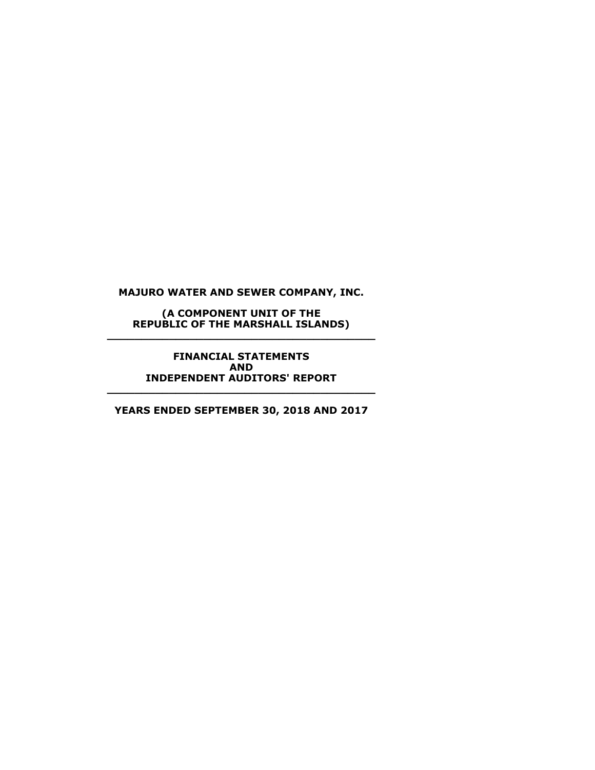**MAJURO WATER AND SEWER COMPANY, INC.**

**(A COMPONENT UNIT OF THE REPUBLIC OF THE MARSHALL ISLANDS) \_\_\_\_\_\_\_\_\_\_\_\_\_\_\_\_\_\_\_\_\_\_\_\_\_\_\_\_\_\_\_\_\_\_\_\_\_\_\_**

> **FINANCIAL STATEMENTS AND INDEPENDENT AUDITORS' REPORT**

**YEARS ENDED SEPTEMBER 30, 2018 AND 2017**

**\_\_\_\_\_\_\_\_\_\_\_\_\_\_\_\_\_\_\_\_\_\_\_\_\_\_\_\_\_\_\_\_\_\_\_\_\_\_\_**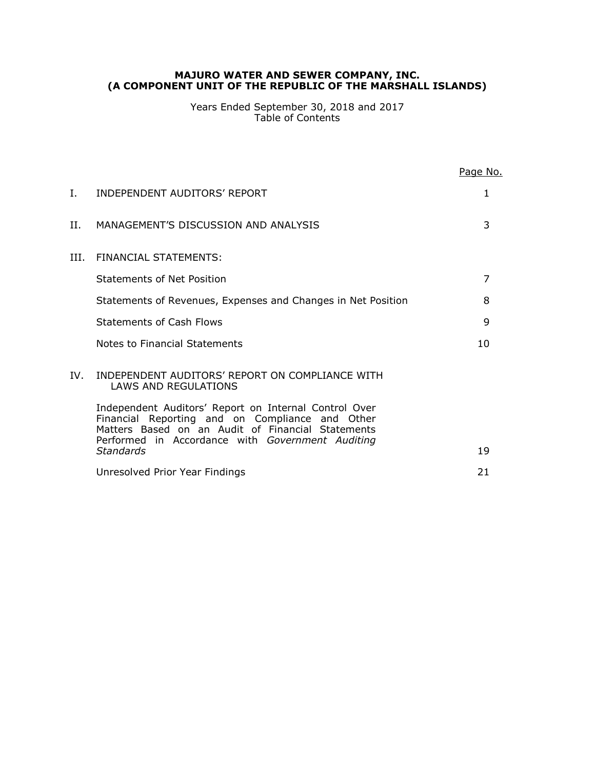Years Ended September 30, 2018 and 2017 Table of Contents

|     |                                                                                                                                                               | <u>Page No.</u> |
|-----|---------------------------------------------------------------------------------------------------------------------------------------------------------------|-----------------|
| Ι.  | INDEPENDENT AUDITORS' REPORT                                                                                                                                  | 1               |
| H.  | MANAGEMENT'S DISCUSSION AND ANALYSIS                                                                                                                          | 3               |
| HL. | FINANCIAL STATEMENTS:                                                                                                                                         |                 |
|     | Statements of Net Position                                                                                                                                    | 7               |
|     | Statements of Revenues, Expenses and Changes in Net Position                                                                                                  | 8               |
|     | Statements of Cash Flows                                                                                                                                      | 9               |
|     | Notes to Financial Statements                                                                                                                                 | 10              |
| IV. | INDEPENDENT AUDITORS' REPORT ON COMPLIANCE WITH<br>LAWS AND REGULATIONS                                                                                       |                 |
|     | Independent Auditors' Report on Internal Control Over<br>Financial Reporting and on Compliance and Other<br>Matters Based on an Audit of Financial Statements |                 |
|     | Performed in Accordance with Government Auditing<br><b>Standards</b>                                                                                          | 19              |
|     | Unresolved Prior Year Findings                                                                                                                                | 21              |
|     |                                                                                                                                                               |                 |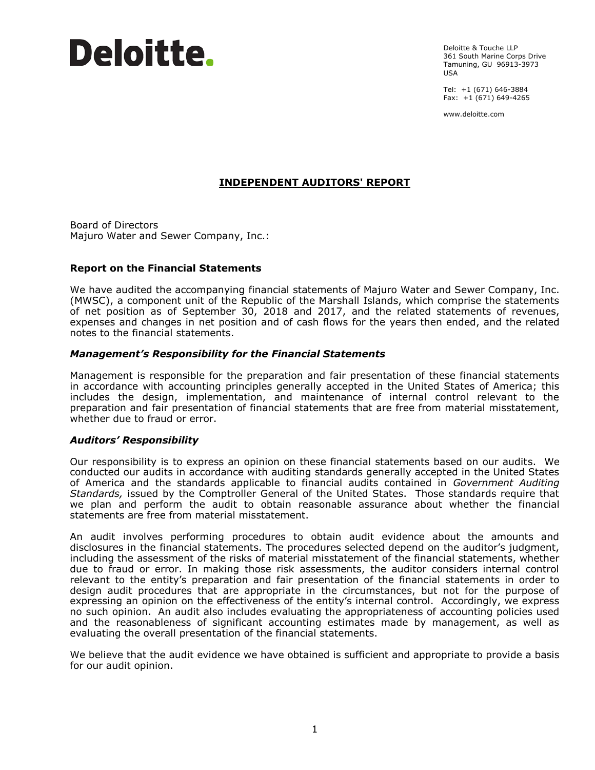# **Deloitte.**

Deloitte & Touche LLP 361 South Marine Corps Drive Tamuning, GU 96913-3973 USA

Tel: +1 (671) 646-3884 Fax: +1 (671) 649-4265

www.deloitte.com

# **INDEPENDENT AUDITORS' REPORT**

Board of Directors Majuro Water and Sewer Company, Inc.:

# **Report on the Financial Statements**

We have audited the accompanying financial statements of Majuro Water and Sewer Company, Inc. (MWSC), a component unit of the Republic of the Marshall Islands, which comprise the statements of net position as of September 30, 2018 and 2017, and the related statements of revenues, expenses and changes in net position and of cash flows for the years then ended, and the related notes to the financial statements.

# *Management's Responsibility for the Financial Statements*

Management is responsible for the preparation and fair presentation of these financial statements in accordance with accounting principles generally accepted in the United States of America; this includes the design, implementation, and maintenance of internal control relevant to the preparation and fair presentation of financial statements that are free from material misstatement, whether due to fraud or error.

# *Auditors' Responsibility*

Our responsibility is to express an opinion on these financial statements based on our audits. We conducted our audits in accordance with auditing standards generally accepted in the United States of America and the standards applicable to financial audits contained in *Government Auditing Standards,* issued by the Comptroller General of the United States. Those standards require that we plan and perform the audit to obtain reasonable assurance about whether the financial statements are free from material misstatement.

An audit involves performing procedures to obtain audit evidence about the amounts and disclosures in the financial statements. The procedures selected depend on the auditor's judgment, including the assessment of the risks of material misstatement of the financial statements, whether due to fraud or error. In making those risk assessments, the auditor considers internal control relevant to the entity's preparation and fair presentation of the financial statements in order to design audit procedures that are appropriate in the circumstances, but not for the purpose of expressing an opinion on the effectiveness of the entity's internal control. Accordingly, we express no such opinion. An audit also includes evaluating the appropriateness of accounting policies used and the reasonableness of significant accounting estimates made by management, as well as evaluating the overall presentation of the financial statements.

We believe that the audit evidence we have obtained is sufficient and appropriate to provide a basis for our audit opinion.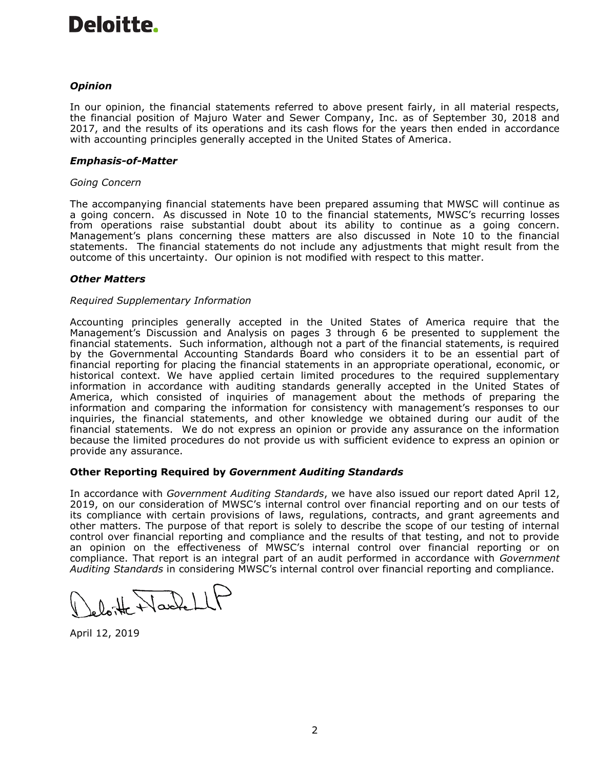# Deloitte.

# *Opinion*

In our opinion, the financial statements referred to above present fairly, in all material respects, the financial position of Majuro Water and Sewer Company, Inc. as of September 30, 2018 and 2017, and the results of its operations and its cash flows for the years then ended in accordance with accounting principles generally accepted in the United States of America.

# *Emphasis-of-Matter*

# *Going Concern*

The accompanying financial statements have been prepared assuming that MWSC will continue as a going concern. As discussed in Note 10 to the financial statements, MWSC's recurring losses from operations raise substantial doubt about its ability to continue as a going concern. Management's plans concerning these matters are also discussed in Note 10 to the financial statements. The financial statements do not include any adjustments that might result from the outcome of this uncertainty. Our opinion is not modified with respect to this matter.

# *Other Matters*

# *Required Supplementary Information*

Accounting principles generally accepted in the United States of America require that the Management's Discussion and Analysis on pages 3 through 6 be presented to supplement the financial statements. Such information, although not a part of the financial statements, is required by the Governmental Accounting Standards Board who considers it to be an essential part of financial reporting for placing the financial statements in an appropriate operational, economic, or historical context. We have applied certain limited procedures to the required supplementary information in accordance with auditing standards generally accepted in the United States of America, which consisted of inquiries of management about the methods of preparing the information and comparing the information for consistency with management's responses to our inquiries, the financial statements, and other knowledge we obtained during our audit of the financial statements. We do not express an opinion or provide any assurance on the information because the limited procedures do not provide us with sufficient evidence to express an opinion or provide any assurance.

# **Other Reporting Required by** *Government Auditing Standards*

In accordance with *Government Auditing Standards*, we have also issued our report dated April 12, 2019, on our consideration of MWSC's internal control over financial reporting and on our tests of its compliance with certain provisions of laws, regulations, contracts, and grant agreements and other matters. The purpose of that report is solely to describe the scope of our testing of internal control over financial reporting and compliance and the results of that testing, and not to provide an opinion on the effectiveness of MWSC's internal control over financial reporting or on compliance. That report is an integral part of an audit performed in accordance with *Government Auditing Standards* in considering MWSC's internal control over financial reporting and compliance.

loite Harlell

April 12, 2019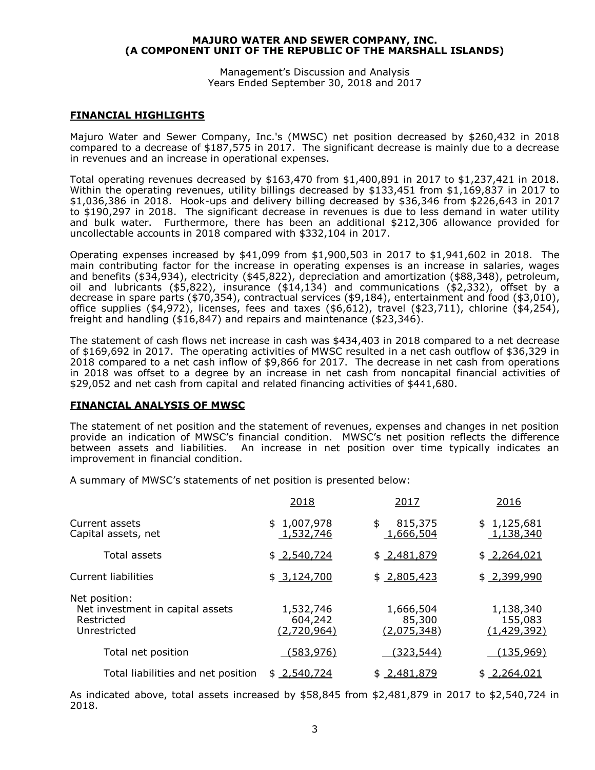Management's Discussion and Analysis Years Ended September 30, 2018 and 2017

# **FINANCIAL HIGHLIGHTS**

Majuro Water and Sewer Company, Inc.'s (MWSC) net position decreased by \$260,432 in 2018 compared to a decrease of \$187,575 in 2017. The significant decrease is mainly due to a decrease in revenues and an increase in operational expenses.

Total operating revenues decreased by \$163,470 from \$1,400,891 in 2017 to \$1,237,421 in 2018. Within the operating revenues, utility billings decreased by \$133,451 from \$1,169,837 in 2017 to \$1,036,386 in 2018. Hook-ups and delivery billing decreased by \$36,346 from \$226,643 in 2017 to \$190,297 in 2018. The significant decrease in revenues is due to less demand in water utility and bulk water. Furthermore, there has been an additional \$212,306 allowance provided for uncollectable accounts in 2018 compared with \$332,104 in 2017.

Operating expenses increased by \$41,099 from \$1,900,503 in 2017 to \$1,941,602 in 2018. The main contributing factor for the increase in operating expenses is an increase in salaries, wages and benefits (\$34,934), electricity (\$45,822), depreciation and amortization (\$88,348), petroleum, oil and lubricants (\$5,822), insurance (\$14,134) and communications (\$2,332), offset by a decrease in spare parts (\$70,354), contractual services (\$9,184), entertainment and food (\$3,010), office supplies (\$4,972), licenses, fees and taxes (\$6,612), travel (\$23,711), chlorine (\$4,254), freight and handling (\$16,847) and repairs and maintenance (\$23,346).

The statement of cash flows net increase in cash was \$434,403 in 2018 compared to a net decrease of \$169,692 in 2017. The operating activities of MWSC resulted in a net cash outflow of \$36,329 in 2018 compared to a net cash inflow of \$9,866 for 2017. The decrease in net cash from operations in 2018 was offset to a degree by an increase in net cash from noncapital financial activities of \$29,052 and net cash from capital and related financing activities of \$441,680.

# **FINANCIAL ANALYSIS OF MWSC**

The statement of net position and the statement of revenues, expenses and changes in net position provide an indication of MWSC's financial condition. MWSC's net position reflects the difference between assets and liabilities. An increase in net position over time typically indicates an improvement in financial condition.

A summary of MWSC's statements of net position is presented below:

|                                                                                 | 2018                                | 2017                               | 2016                                  |
|---------------------------------------------------------------------------------|-------------------------------------|------------------------------------|---------------------------------------|
| Current assets<br>Capital assets, net                                           | 1,007,978<br>\$<br>1,532,746        | 815,375<br>\$<br>1,666,504         | 1,125,681<br>\$<br>1,138,340          |
| Total assets                                                                    | \$2,540,724                         | \$2,481,879                        | \$2,264,021                           |
| <b>Current liabilities</b>                                                      | \$3,124,700                         | \$2,805,423                        | \$2,399,990                           |
| Net position:<br>Net investment in capital assets<br>Restricted<br>Unrestricted | 1,532,746<br>604,242<br>(2,720,964) | 1,666,504<br>85,300<br>(2,075,348) | 1,138,340<br>155,083<br>(1, 429, 392) |
| Total net position                                                              | <u>583,976)</u>                     | <u>(323,544)</u>                   | (135,969)                             |
| Total liabilities and net position                                              | 2,540,724<br>\$                     | \$2,481,879                        | \$2,264,021                           |

As indicated above, total assets increased by \$58,845 from \$2,481,879 in 2017 to \$2,540,724 in 2018.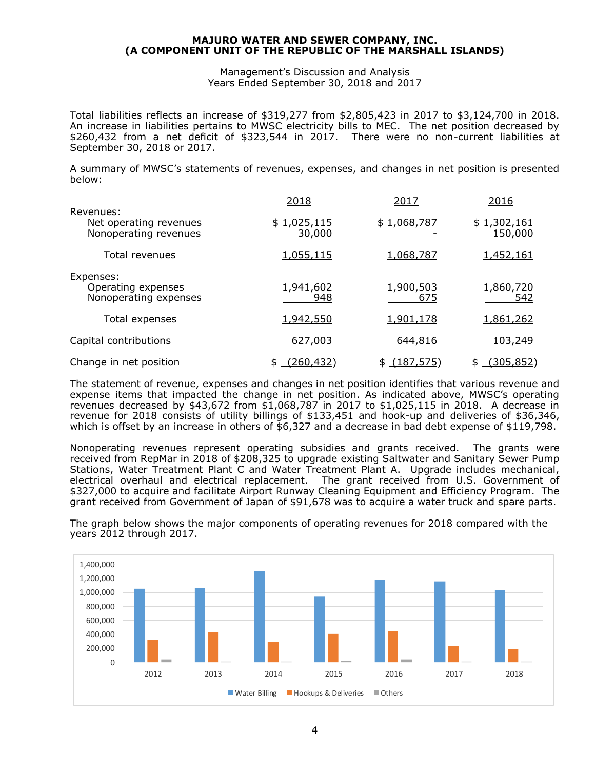Management's Discussion and Analysis Years Ended September 30, 2018 and 2017

Total liabilities reflects an increase of \$319,277 from \$2,805,423 in 2017 to \$3,124,700 in 2018. An increase in liabilities pertains to MWSC electricity bills to MEC. The net position decreased by \$260,432 from a net deficit of \$323,544 in 2017. There were no non-current liabilities at September 30, 2018 or 2017.

A summary of MWSC's statements of revenues, expenses, and changes in net position is presented below:

|                                                              | 2018                  | 2017             | 2016                   |
|--------------------------------------------------------------|-----------------------|------------------|------------------------|
| Revenues:<br>Net operating revenues<br>Nonoperating revenues | \$1,025,115<br>30,000 | \$1,068,787      | \$1,302,161<br>150,000 |
| Total revenues                                               | <u>1,055,115</u>      | 1,068,787        | <u>1,452,161</u>       |
| Expenses:<br>Operating expenses<br>Nonoperating expenses     | 1,941,602<br>948      | 1,900,503<br>675 | 1,860,720<br>542       |
| Total expenses                                               | 1,942,550             | 1,901,178        | <u>1,861,262</u>       |
| Capital contributions                                        | 627,003               | 644,816          | <u>103,249</u>         |
| Change in net position                                       | (260, 432)<br>\$      | \$ (187, 575)    | <u>(305,852)</u>       |

The statement of revenue, expenses and changes in net position identifies that various revenue and expense items that impacted the change in net position. As indicated above, MWSC's operating revenues decreased by \$43,672 from  $$1,068,787$  in 2017 to \$1,025,115 in 2018. A decrease in revenue for 2018 consists of utility billings of \$133,451 and hook-up and deliveries of \$36,346, which is offset by an increase in others of \$6,327 and a decrease in bad debt expense of \$119,798.

Nonoperating revenues represent operating subsidies and grants received. The grants were received from RepMar in 2018 of \$208,325 to upgrade existing Saltwater and Sanitary Sewer Pump Stations, Water Treatment Plant C and Water Treatment Plant A. Upgrade includes mechanical, electrical overhaul and electrical replacement. The grant received from U.S. Government of \$327,000 to acquire and facilitate Airport Runway Cleaning Equipment and Efficiency Program. The grant received from Government of Japan of \$91,678 was to acquire a water truck and spare parts.

The graph below shows the major components of operating revenues for 2018 compared with the years 2012 through 2017.

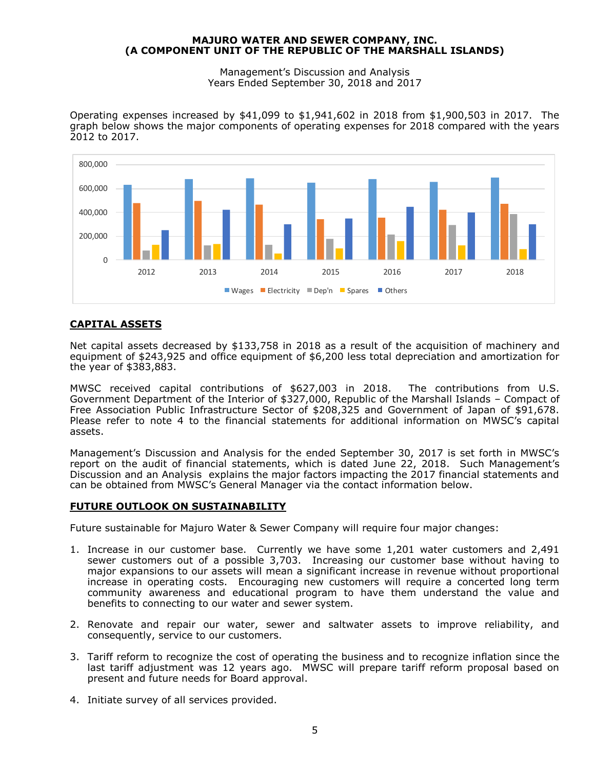Management's Discussion and Analysis Years Ended September 30, 2018 and 2017

Operating expenses increased by \$41,099 to \$1,941,602 in 2018 from \$1,900,503 in 2017. The graph below shows the major components of operating expenses for 2018 compared with the years 2012 to 2017.



# **CAPITAL ASSETS**

Net capital assets decreased by \$133,758 in 2018 as a result of the acquisition of machinery and equipment of \$243,925 and office equipment of \$6,200 less total depreciation and amortization for the year of \$383,883.

MWSC received capital contributions of \$627,003 in 2018. The contributions from U.S. Government Department of the Interior of \$327,000, Republic of the Marshall Islands – Compact of Free Association Public Infrastructure Sector of \$208,325 and Government of Japan of \$91,678. Please refer to note 4 to the financial statements for additional information on MWSC's capital assets.

Management's Discussion and Analysis for the ended September 30, 2017 is set forth in MWSC's report on the audit of financial statements, which is dated June 22, 2018. Such Management's Discussion and an Analysis explains the major factors impacting the 2017 financial statements and can be obtained from MWSC's General Manager via the contact information below.

# **FUTURE OUTLOOK ON SUSTAINABILITY**

Future sustainable for Majuro Water & Sewer Company will require four major changes:

- 1. Increase in our customer base. Currently we have some 1,201 water customers and 2,491 sewer customers out of a possible 3,703. Increasing our customer base without having to major expansions to our assets will mean a significant increase in revenue without proportional increase in operating costs. Encouraging new customers will require a concerted long term community awareness and educational program to have them understand the value and benefits to connecting to our water and sewer system.
- 2. Renovate and repair our water, sewer and saltwater assets to improve reliability, and consequently, service to our customers.
- 3. Tariff reform to recognize the cost of operating the business and to recognize inflation since the last tariff adjustment was 12 years ago. MWSC will prepare tariff reform proposal based on present and future needs for Board approval.
- 4. Initiate survey of all services provided.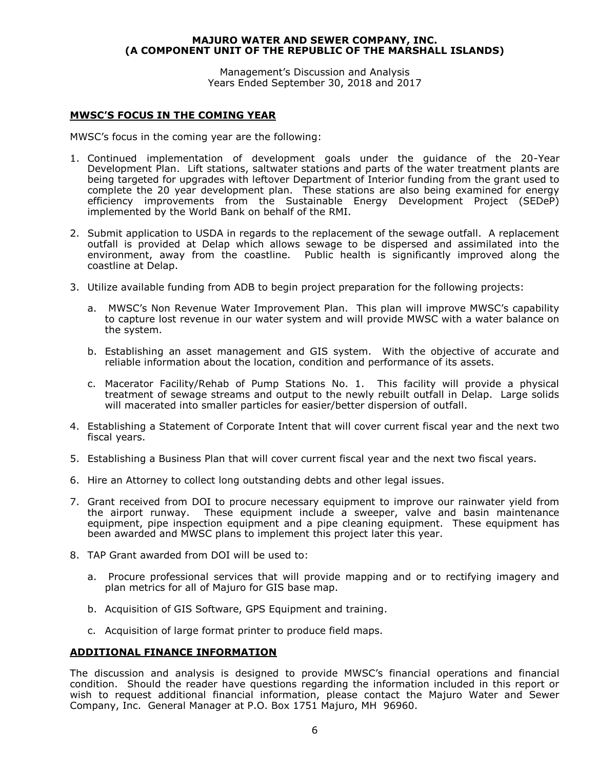Management's Discussion and Analysis Years Ended September 30, 2018 and 2017

# **MWSC'S FOCUS IN THE COMING YEAR**

MWSC's focus in the coming year are the following:

- 1. Continued implementation of development goals under the guidance of the 20-Year Development Plan. Lift stations, saltwater stations and parts of the water treatment plants are being targeted for upgrades with leftover Department of Interior funding from the grant used to complete the 20 year development plan. These stations are also being examined for energy efficiency improvements from the Sustainable Energy Development Project (SEDeP) implemented by the World Bank on behalf of the RMI.
- 2. Submit application to USDA in regards to the replacement of the sewage outfall. A replacement outfall is provided at Delap which allows sewage to be dispersed and assimilated into the environment, away from the coastline. Public health is significantly improved along the coastline at Delap.
- 3. Utilize available funding from ADB to begin project preparation for the following projects:
	- a. MWSC's Non Revenue Water Improvement Plan. This plan will improve MWSC's capability to capture lost revenue in our water system and will provide MWSC with a water balance on the system.
	- b. Establishing an asset management and GIS system. With the objective of accurate and reliable information about the location, condition and performance of its assets.
	- c. Macerator Facility/Rehab of Pump Stations No. 1. This facility will provide a physical treatment of sewage streams and output to the newly rebuilt outfall in Delap. Large solids will macerated into smaller particles for easier/better dispersion of outfall.
- 4. Establishing a Statement of Corporate Intent that will cover current fiscal year and the next two fiscal years.
- 5. Establishing a Business Plan that will cover current fiscal year and the next two fiscal years.
- 6. Hire an Attorney to collect long outstanding debts and other legal issues.
- 7. Grant received from DOI to procure necessary equipment to improve our rainwater yield from the airport runway. These equipment include a sweeper, valve and basin maintenance equipment, pipe inspection equipment and a pipe cleaning equipment. These equipment has been awarded and MWSC plans to implement this project later this year.
- 8. TAP Grant awarded from DOI will be used to:
	- a. Procure professional services that will provide mapping and or to rectifying imagery and plan metrics for all of Majuro for GIS base map.
	- b. Acquisition of GIS Software, GPS Equipment and training.
	- c. Acquisition of large format printer to produce field maps.

#### **ADDITIONAL FINANCE INFORMATION**

The discussion and analysis is designed to provide MWSC's financial operations and financial condition. Should the reader have questions regarding the information included in this report or wish to request additional financial information, please contact the Majuro Water and Sewer Company, Inc. General Manager at P.O. Box 1751 Majuro, MH 96960.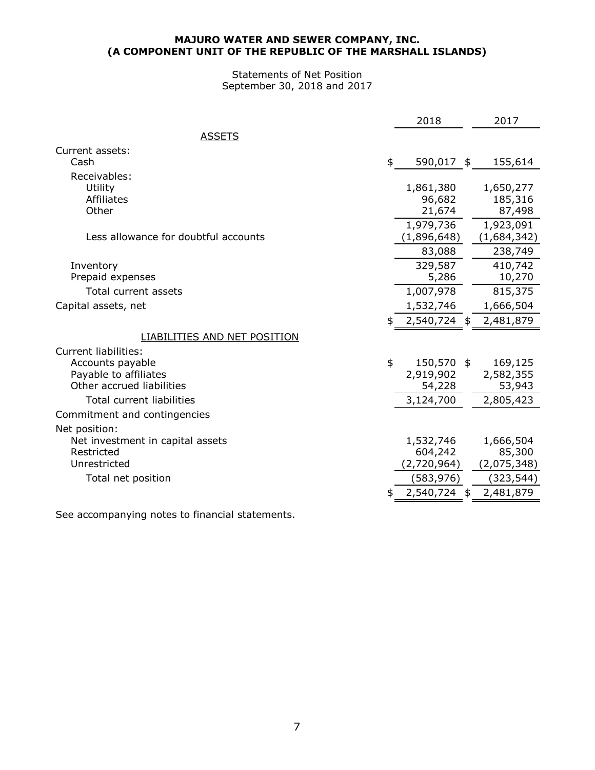# Statements of Net Position September 30, 2018 and 2017

|                                                                                                | 2018                                    | 2017                                |
|------------------------------------------------------------------------------------------------|-----------------------------------------|-------------------------------------|
| <b>ASSETS</b>                                                                                  |                                         |                                     |
| Current assets:<br>Cash                                                                        | \$<br>590,017 \$                        | 155,614                             |
| Receivables:<br>Utility<br>Affiliates<br>Other                                                 | 1,861,380<br>96,682<br>21,674           | 1,650,277<br>185,316<br>87,498      |
| Less allowance for doubtful accounts                                                           | 1,979,736<br>(1,896,648)<br>83,088      | 1,923,091<br>(1,684,342)<br>238,749 |
| Inventory<br>Prepaid expenses                                                                  | 329,587<br>5,286                        | 410,742<br>10,270                   |
| Total current assets                                                                           | 1,007,978                               | 815,375                             |
| Capital assets, net                                                                            | 1,532,746                               | 1,666,504                           |
|                                                                                                | 2,540,724 \$                            | 2,481,879                           |
| LIABILITIES AND NET POSITION                                                                   |                                         |                                     |
| Current liabilities:<br>Accounts payable<br>Payable to affiliates<br>Other accrued liabilities | \$<br>150,570 \$<br>2,919,902<br>54,228 | 169,125<br>2,582,355<br>53,943      |
| <b>Total current liabilities</b>                                                               | 3,124,700                               | 2,805,423                           |
| Commitment and contingencies                                                                   |                                         |                                     |
| Net position:<br>Net investment in capital assets<br>Restricted<br>Unrestricted                | 1,532,746<br>604,242<br>(2,720,964)     | 1,666,504<br>85,300<br>(2,075,348)  |
| Total net position                                                                             | (583,976)                               | (323, 544)                          |
|                                                                                                | 2,540,724                               | \$<br>2,481,879                     |

See accompanying notes to financial statements.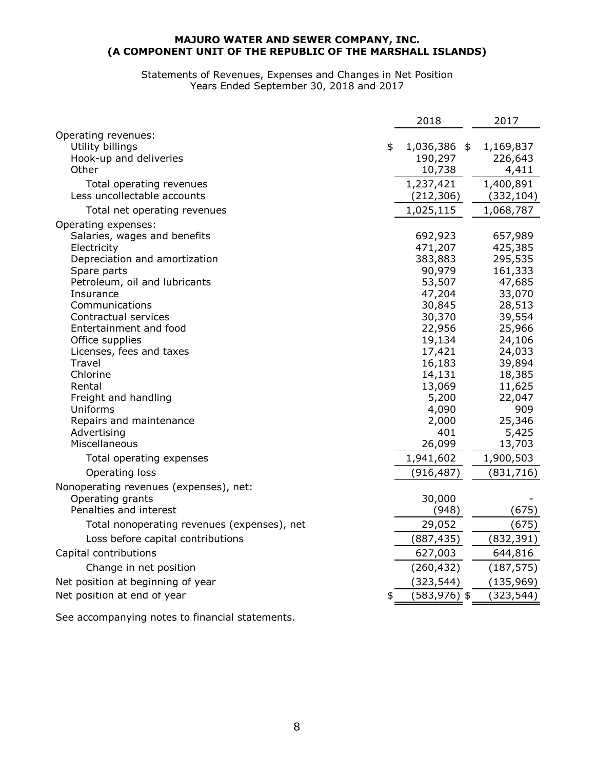# Statements of Revenues, Expenses and Changes in Net Position Years Ended September 30, 2018 and 2017

| Operating revenues:<br>Utility billings<br>1,036,386 \$<br>1,169,837<br>\$<br>Hook-up and deliveries<br>190,297<br>226,643<br>Other<br>4,411<br>10,738<br>1,237,421<br>1,400,891<br>Total operating revenues<br>Less uncollectable accounts<br>(212,306)<br>(332,104)<br>1,025,115<br>1,068,787<br>Total net operating revenues<br>Operating expenses:<br>Salaries, wages and benefits<br>692,923<br>657,989<br>Electricity<br>471,207<br>425,385<br>295,535<br>Depreciation and amortization<br>383,883<br>90,979<br>161,333<br>Spare parts<br>Petroleum, oil and lubricants<br>53,507<br>47,685<br>33,070<br>Insurance<br>47,204<br>28,513<br>Communications<br>30,845<br>39,554<br>Contractual services<br>30,370<br>Entertainment and food<br>22,956<br>25,966<br>Office supplies<br>19,134<br>24,106<br>17,421<br>Licenses, fees and taxes<br>24,033<br>16,183<br>39,894<br>Travel<br>Chlorine<br>14,131<br>18,385<br>13,069<br>Rental<br>11,625<br>Freight and handling<br>5,200<br>22,047<br>Uniforms<br>4,090<br>909<br>25,346<br>Repairs and maintenance<br>2,000<br>Advertising<br>401<br>5,425<br>Miscellaneous<br>26,099<br>13,703<br>1,941,602<br>1,900,503<br>Total operating expenses<br>Operating loss<br>(916, 487)<br>(831, 716)<br>Nonoperating revenues (expenses), net:<br>Operating grants<br>30,000<br>Penalties and interest<br>(675)<br>(948)<br>Total nonoperating revenues (expenses), net<br>29,052<br>(675)<br>Loss before capital contributions<br>(887, 435)<br>(832, 391)<br>Capital contributions<br>627,003<br>644,816<br>(260, 432)<br>Change in net position<br>(187, 575)<br>Net position at beginning of year<br>(135, 969)<br>(323,544)<br>Net position at end of year<br>\$<br>$(583, 976)$ \$<br>(323, 544) | 2018 | 2017 |
|------------------------------------------------------------------------------------------------------------------------------------------------------------------------------------------------------------------------------------------------------------------------------------------------------------------------------------------------------------------------------------------------------------------------------------------------------------------------------------------------------------------------------------------------------------------------------------------------------------------------------------------------------------------------------------------------------------------------------------------------------------------------------------------------------------------------------------------------------------------------------------------------------------------------------------------------------------------------------------------------------------------------------------------------------------------------------------------------------------------------------------------------------------------------------------------------------------------------------------------------------------------------------------------------------------------------------------------------------------------------------------------------------------------------------------------------------------------------------------------------------------------------------------------------------------------------------------------------------------------------------------------------------------------------------------------------------------------------------------------------------|------|------|
|                                                                                                                                                                                                                                                                                                                                                                                                                                                                                                                                                                                                                                                                                                                                                                                                                                                                                                                                                                                                                                                                                                                                                                                                                                                                                                                                                                                                                                                                                                                                                                                                                                                                                                                                                      |      |      |
|                                                                                                                                                                                                                                                                                                                                                                                                                                                                                                                                                                                                                                                                                                                                                                                                                                                                                                                                                                                                                                                                                                                                                                                                                                                                                                                                                                                                                                                                                                                                                                                                                                                                                                                                                      |      |      |
|                                                                                                                                                                                                                                                                                                                                                                                                                                                                                                                                                                                                                                                                                                                                                                                                                                                                                                                                                                                                                                                                                                                                                                                                                                                                                                                                                                                                                                                                                                                                                                                                                                                                                                                                                      |      |      |
|                                                                                                                                                                                                                                                                                                                                                                                                                                                                                                                                                                                                                                                                                                                                                                                                                                                                                                                                                                                                                                                                                                                                                                                                                                                                                                                                                                                                                                                                                                                                                                                                                                                                                                                                                      |      |      |
|                                                                                                                                                                                                                                                                                                                                                                                                                                                                                                                                                                                                                                                                                                                                                                                                                                                                                                                                                                                                                                                                                                                                                                                                                                                                                                                                                                                                                                                                                                                                                                                                                                                                                                                                                      |      |      |
|                                                                                                                                                                                                                                                                                                                                                                                                                                                                                                                                                                                                                                                                                                                                                                                                                                                                                                                                                                                                                                                                                                                                                                                                                                                                                                                                                                                                                                                                                                                                                                                                                                                                                                                                                      |      |      |
|                                                                                                                                                                                                                                                                                                                                                                                                                                                                                                                                                                                                                                                                                                                                                                                                                                                                                                                                                                                                                                                                                                                                                                                                                                                                                                                                                                                                                                                                                                                                                                                                                                                                                                                                                      |      |      |
|                                                                                                                                                                                                                                                                                                                                                                                                                                                                                                                                                                                                                                                                                                                                                                                                                                                                                                                                                                                                                                                                                                                                                                                                                                                                                                                                                                                                                                                                                                                                                                                                                                                                                                                                                      |      |      |
|                                                                                                                                                                                                                                                                                                                                                                                                                                                                                                                                                                                                                                                                                                                                                                                                                                                                                                                                                                                                                                                                                                                                                                                                                                                                                                                                                                                                                                                                                                                                                                                                                                                                                                                                                      |      |      |
|                                                                                                                                                                                                                                                                                                                                                                                                                                                                                                                                                                                                                                                                                                                                                                                                                                                                                                                                                                                                                                                                                                                                                                                                                                                                                                                                                                                                                                                                                                                                                                                                                                                                                                                                                      |      |      |
|                                                                                                                                                                                                                                                                                                                                                                                                                                                                                                                                                                                                                                                                                                                                                                                                                                                                                                                                                                                                                                                                                                                                                                                                                                                                                                                                                                                                                                                                                                                                                                                                                                                                                                                                                      |      |      |
|                                                                                                                                                                                                                                                                                                                                                                                                                                                                                                                                                                                                                                                                                                                                                                                                                                                                                                                                                                                                                                                                                                                                                                                                                                                                                                                                                                                                                                                                                                                                                                                                                                                                                                                                                      |      |      |
|                                                                                                                                                                                                                                                                                                                                                                                                                                                                                                                                                                                                                                                                                                                                                                                                                                                                                                                                                                                                                                                                                                                                                                                                                                                                                                                                                                                                                                                                                                                                                                                                                                                                                                                                                      |      |      |
|                                                                                                                                                                                                                                                                                                                                                                                                                                                                                                                                                                                                                                                                                                                                                                                                                                                                                                                                                                                                                                                                                                                                                                                                                                                                                                                                                                                                                                                                                                                                                                                                                                                                                                                                                      |      |      |
|                                                                                                                                                                                                                                                                                                                                                                                                                                                                                                                                                                                                                                                                                                                                                                                                                                                                                                                                                                                                                                                                                                                                                                                                                                                                                                                                                                                                                                                                                                                                                                                                                                                                                                                                                      |      |      |
|                                                                                                                                                                                                                                                                                                                                                                                                                                                                                                                                                                                                                                                                                                                                                                                                                                                                                                                                                                                                                                                                                                                                                                                                                                                                                                                                                                                                                                                                                                                                                                                                                                                                                                                                                      |      |      |
|                                                                                                                                                                                                                                                                                                                                                                                                                                                                                                                                                                                                                                                                                                                                                                                                                                                                                                                                                                                                                                                                                                                                                                                                                                                                                                                                                                                                                                                                                                                                                                                                                                                                                                                                                      |      |      |
|                                                                                                                                                                                                                                                                                                                                                                                                                                                                                                                                                                                                                                                                                                                                                                                                                                                                                                                                                                                                                                                                                                                                                                                                                                                                                                                                                                                                                                                                                                                                                                                                                                                                                                                                                      |      |      |
|                                                                                                                                                                                                                                                                                                                                                                                                                                                                                                                                                                                                                                                                                                                                                                                                                                                                                                                                                                                                                                                                                                                                                                                                                                                                                                                                                                                                                                                                                                                                                                                                                                                                                                                                                      |      |      |

See accompanying notes to financial statements.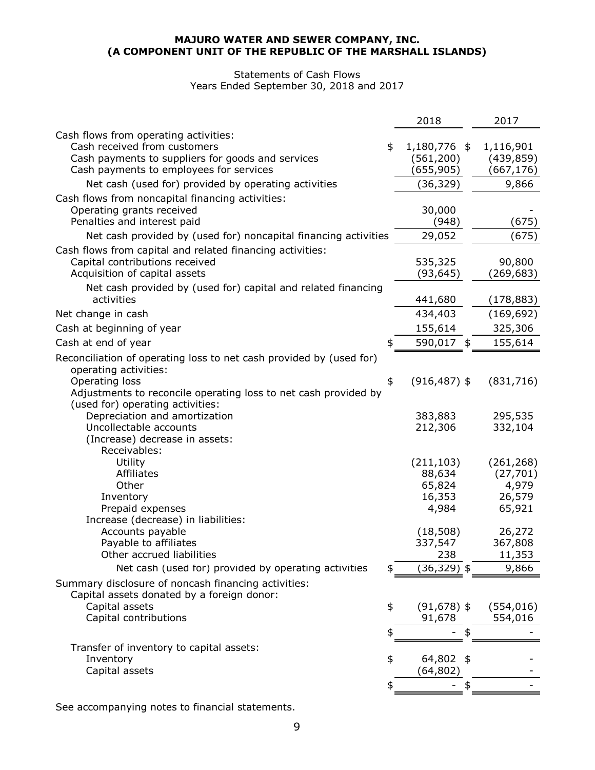# Statements of Cash Flows Years Ended September 30, 2018 and 2017

|                                                                               | 2018                  | 2017       |       |
|-------------------------------------------------------------------------------|-----------------------|------------|-------|
| Cash flows from operating activities:                                         |                       |            |       |
| Cash received from customers                                                  | \$<br>$1,180,776$ \$  | 1,116,901  |       |
| Cash payments to suppliers for goods and services                             | (561, 200)            | (439, 859) |       |
| Cash payments to employees for services                                       | (655,905)             | (667, 176) |       |
| Net cash (used for) provided by operating activities                          | (36, 329)             |            | 9,866 |
|                                                                               |                       |            |       |
| Cash flows from noncapital financing activities:<br>Operating grants received | 30,000                |            |       |
| Penalties and interest paid                                                   | (948)                 |            | (675) |
|                                                                               |                       |            |       |
| Net cash provided by (used for) noncapital financing activities               | 29,052                |            | (675) |
| Cash flows from capital and related financing activities:                     |                       |            |       |
| Capital contributions received                                                | 535,325               | 90,800     |       |
| Acquisition of capital assets                                                 | (93, 645)             | (269, 683) |       |
| Net cash provided by (used for) capital and related financing                 |                       |            |       |
| activities                                                                    | 441,680               | (178, 883) |       |
| Net change in cash                                                            | 434,403               | (169, 692) |       |
| Cash at beginning of year                                                     | 155,614               | 325,306    |       |
| Cash at end of year                                                           | 590,017 \$            | 155,614    |       |
| Reconciliation of operating loss to net cash provided by (used for)           |                       |            |       |
| operating activities:                                                         |                       |            |       |
| Operating loss                                                                | \$<br>$(916, 487)$ \$ | (831,716)  |       |
| Adjustments to reconcile operating loss to net cash provided by               |                       |            |       |
| (used for) operating activities:                                              |                       |            |       |
| Depreciation and amortization                                                 | 383,883               | 295,535    |       |
| Uncollectable accounts                                                        | 212,306               | 332,104    |       |
| (Increase) decrease in assets:                                                |                       |            |       |
| Receivables:                                                                  |                       |            |       |
| Utility                                                                       | (211, 103)            | (261, 268) |       |
| Affiliates                                                                    | 88,634                | (27, 701)  |       |
| Other                                                                         | 65,824                |            | 4,979 |
| Inventory                                                                     | 16,353                | 26,579     |       |
| Prepaid expenses                                                              | 4,984                 | 65,921     |       |
| Increase (decrease) in liabilities:                                           |                       |            |       |
| Accounts payable                                                              | (18, 508)             | 26,272     |       |
| Payable to affiliates                                                         | 337,547               | 367,808    |       |
| Other accrued liabilities                                                     | 238                   | 11,353     |       |
| Net cash (used for) provided by operating activities                          | \$<br>$(36, 329)$ \$  |            | 9,866 |
| Summary disclosure of noncash financing activities:                           |                       |            |       |
| Capital assets donated by a foreign donor:                                    |                       |            |       |
| Capital assets                                                                | \$<br>$(91, 678)$ \$  | (554, 016) |       |
| Capital contributions                                                         | 91,678                | 554,016    |       |
|                                                                               | \$<br>S               |            |       |
| Transfer of inventory to capital assets:                                      |                       |            |       |
| Inventory                                                                     | \$<br>64,802 \$       |            |       |
| Capital assets                                                                | (64, 802)             |            |       |
|                                                                               | \$<br>\$              |            |       |
|                                                                               |                       |            |       |

See accompanying notes to financial statements.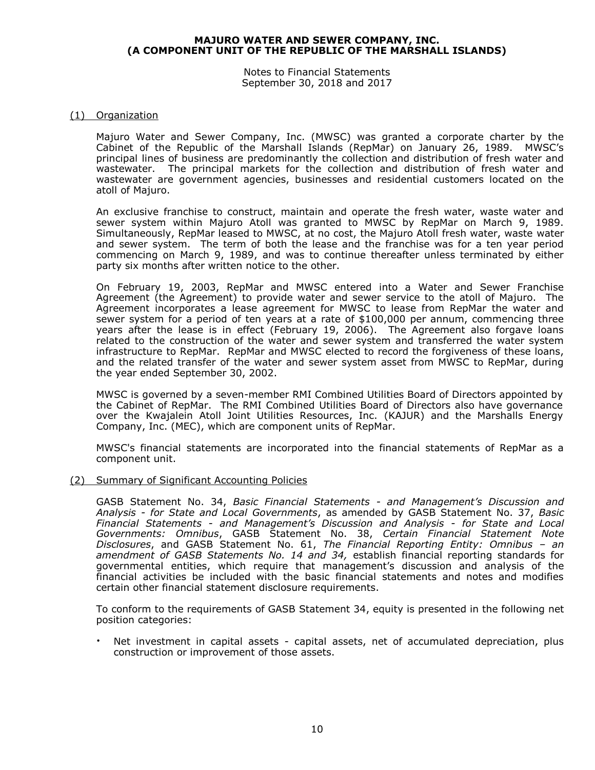Notes to Financial Statements September 30, 2018 and 2017

#### (1) Organization

Majuro Water and Sewer Company, Inc. (MWSC) was granted a corporate charter by the Cabinet of the Republic of the Marshall Islands (RepMar) on January 26, 1989. MWSC's principal lines of business are predominantly the collection and distribution of fresh water and wastewater. The principal markets for the collection and distribution of fresh water and wastewater are government agencies, businesses and residential customers located on the atoll of Majuro.

An exclusive franchise to construct, maintain and operate the fresh water, waste water and sewer system within Majuro Atoll was granted to MWSC by RepMar on March 9, 1989. Simultaneously, RepMar leased to MWSC, at no cost, the Majuro Atoll fresh water, waste water and sewer system. The term of both the lease and the franchise was for a ten year period commencing on March 9, 1989, and was to continue thereafter unless terminated by either party six months after written notice to the other.

On February 19, 2003, RepMar and MWSC entered into a Water and Sewer Franchise Agreement (the Agreement) to provide water and sewer service to the atoll of Majuro. The Agreement incorporates a lease agreement for MWSC to lease from RepMar the water and sewer system for a period of ten years at a rate of \$100,000 per annum, commencing three years after the lease is in effect (February 19, 2006). The Agreement also forgave loans related to the construction of the water and sewer system and transferred the water system infrastructure to RepMar. RepMar and MWSC elected to record the forgiveness of these loans, and the related transfer of the water and sewer system asset from MWSC to RepMar, during the year ended September 30, 2002.

MWSC is governed by a seven-member RMI Combined Utilities Board of Directors appointed by the Cabinet of RepMar. The RMI Combined Utilities Board of Directors also have governance over the Kwajalein Atoll Joint Utilities Resources, Inc. (KAJUR) and the Marshalls Energy Company, Inc. (MEC), which are component units of RepMar.

MWSC's financial statements are incorporated into the financial statements of RepMar as a component unit.

#### (2) Summary of Significant Accounting Policies

GASB Statement No. 34, *Basic Financial Statements - and Management's Discussion and Analysis - for State and Local Governments*, as amended by GASB Statement No. 37, *Basic Financial Statements - and Management's Discussion and Analysis - for State and Local Governments: Omnibus*, GASB Statement No. 38, *Certain Financial Statement Note Disclosures*, and GASB Statement No. 61, *The Financial Reporting Entity: Omnibus – an amendment of GASB Statements No. 14 and 34,* establish financial reporting standards for governmental entities, which require that management's discussion and analysis of the financial activities be included with the basic financial statements and notes and modifies certain other financial statement disclosure requirements.

To conform to the requirements of GASB Statement 34, equity is presented in the following net position categories:

 Net investment in capital assets - capital assets, net of accumulated depreciation, plus construction or improvement of those assets.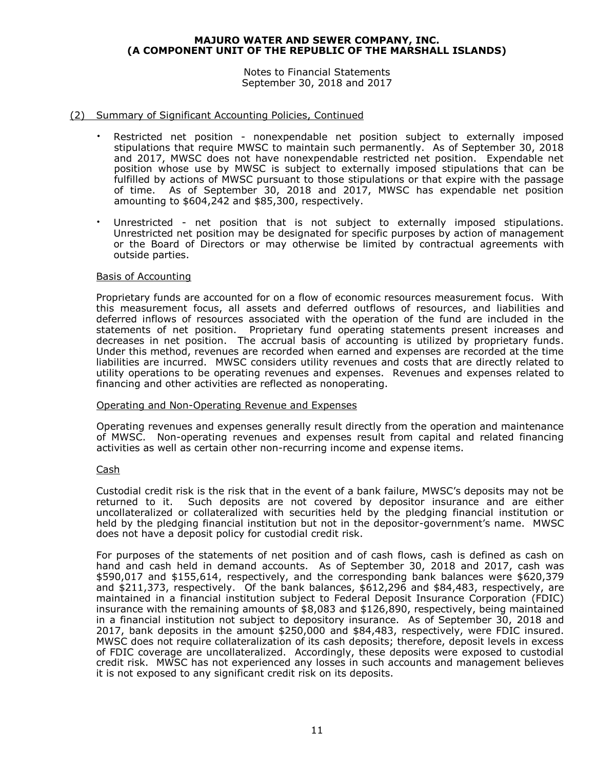Notes to Financial Statements September 30, 2018 and 2017

# (2) Summary of Significant Accounting Policies, Continued

- Restricted net position nonexpendable net position subject to externally imposed stipulations that require MWSC to maintain such permanently. As of September 30, 2018 and 2017, MWSC does not have nonexpendable restricted net position. Expendable net position whose use by MWSC is subject to externally imposed stipulations that can be fulfilled by actions of MWSC pursuant to those stipulations or that expire with the passage of time. As of September 30, 2018 and 2017, MWSC has expendable net position amounting to \$604,242 and \$85,300, respectively.
- Unrestricted net position that is not subject to externally imposed stipulations. Unrestricted net position may be designated for specific purposes by action of management or the Board of Directors or may otherwise be limited by contractual agreements with outside parties.

#### Basis of Accounting

Proprietary funds are accounted for on a flow of economic resources measurement focus. With this measurement focus, all assets and deferred outflows of resources, and liabilities and deferred inflows of resources associated with the operation of the fund are included in the statements of net position. Proprietary fund operating statements present increases and decreases in net position. The accrual basis of accounting is utilized by proprietary funds. Under this method, revenues are recorded when earned and expenses are recorded at the time liabilities are incurred. MWSC considers utility revenues and costs that are directly related to utility operations to be operating revenues and expenses. Revenues and expenses related to financing and other activities are reflected as nonoperating.

#### Operating and Non-Operating Revenue and Expenses

Operating revenues and expenses generally result directly from the operation and maintenance of MWSC. Non-operating revenues and expenses result from capital and related financing activities as well as certain other non-recurring income and expense items.

#### Cash

Custodial credit risk is the risk that in the event of a bank failure, MWSC's deposits may not be returned to it. Such deposits are not covered by depositor insurance and are either uncollateralized or collateralized with securities held by the pledging financial institution or held by the pledging financial institution but not in the depositor-government's name. MWSC does not have a deposit policy for custodial credit risk.

For purposes of the statements of net position and of cash flows, cash is defined as cash on hand and cash held in demand accounts. As of September 30, 2018 and 2017, cash was \$590,017 and \$155,614, respectively, and the corresponding bank balances were \$620,379 and \$211,373, respectively. Of the bank balances, \$612,296 and \$84,483, respectively, are maintained in a financial institution subject to Federal Deposit Insurance Corporation (FDIC) insurance with the remaining amounts of \$8,083 and \$126,890, respectively, being maintained in a financial institution not subject to depository insurance. As of September 30, 2018 and 2017, bank deposits in the amount \$250,000 and \$84,483, respectively, were FDIC insured. MWSC does not require collateralization of its cash deposits; therefore, deposit levels in excess of FDIC coverage are uncollateralized. Accordingly, these deposits were exposed to custodial credit risk. MWSC has not experienced any losses in such accounts and management believes it is not exposed to any significant credit risk on its deposits.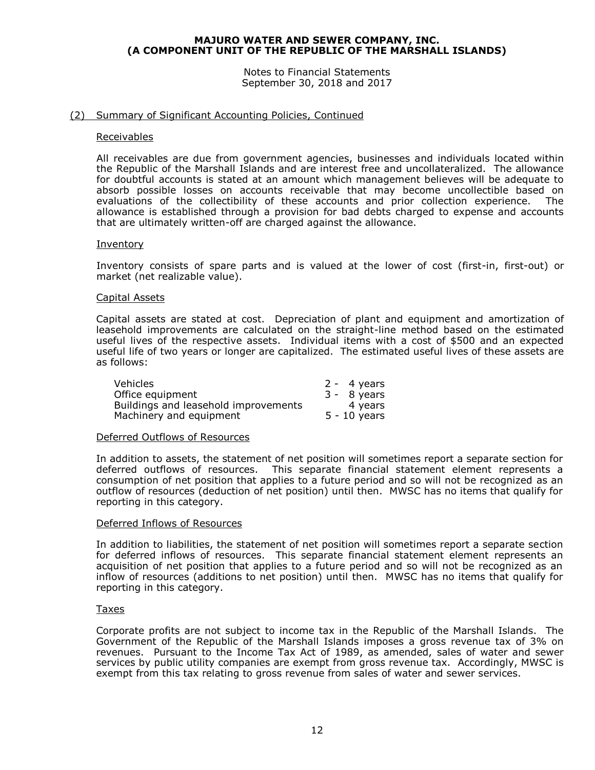Notes to Financial Statements September 30, 2018 and 2017

# (2) Summary of Significant Accounting Policies, Continued

#### Receivables

All receivables are due from government agencies, businesses and individuals located within the Republic of the Marshall Islands and are interest free and uncollateralized. The allowance for doubtful accounts is stated at an amount which management believes will be adequate to absorb possible losses on accounts receivable that may become uncollectible based on evaluations of the collectibility of these accounts and prior collection experience. The allowance is established through a provision for bad debts charged to expense and accounts that are ultimately written-off are charged against the allowance.

#### **Inventory**

Inventory consists of spare parts and is valued at the lower of cost (first-in, first-out) or market (net realizable value).

#### Capital Assets

Capital assets are stated at cost. Depreciation of plant and equipment and amortization of leasehold improvements are calculated on the straight-line method based on the estimated useful lives of the respective assets. Individual items with a cost of \$500 and an expected useful life of two years or longer are capitalized. The estimated useful lives of these assets are as follows:

| Vehicles                             | $2 - 4$ years  |
|--------------------------------------|----------------|
| Office equipment                     | $3 - 8$ years  |
| Buildings and leasehold improvements | 4 years        |
| Machinery and equipment              | $5 - 10$ years |

#### Deferred Outflows of Resources

In addition to assets, the statement of net position will sometimes report a separate section for deferred outflows of resources. This separate financial statement element represents a consumption of net position that applies to a future period and so will not be recognized as an outflow of resources (deduction of net position) until then. MWSC has no items that qualify for reporting in this category.

#### Deferred Inflows of Resources

In addition to liabilities, the statement of net position will sometimes report a separate section for deferred inflows of resources. This separate financial statement element represents an acquisition of net position that applies to a future period and so will not be recognized as an inflow of resources (additions to net position) until then. MWSC has no items that qualify for reporting in this category.

#### Taxes

Corporate profits are not subject to income tax in the Republic of the Marshall Islands. The Government of the Republic of the Marshall Islands imposes a gross revenue tax of 3% on revenues. Pursuant to the Income Tax Act of 1989, as amended, sales of water and sewer services by public utility companies are exempt from gross revenue tax. Accordingly, MWSC is exempt from this tax relating to gross revenue from sales of water and sewer services.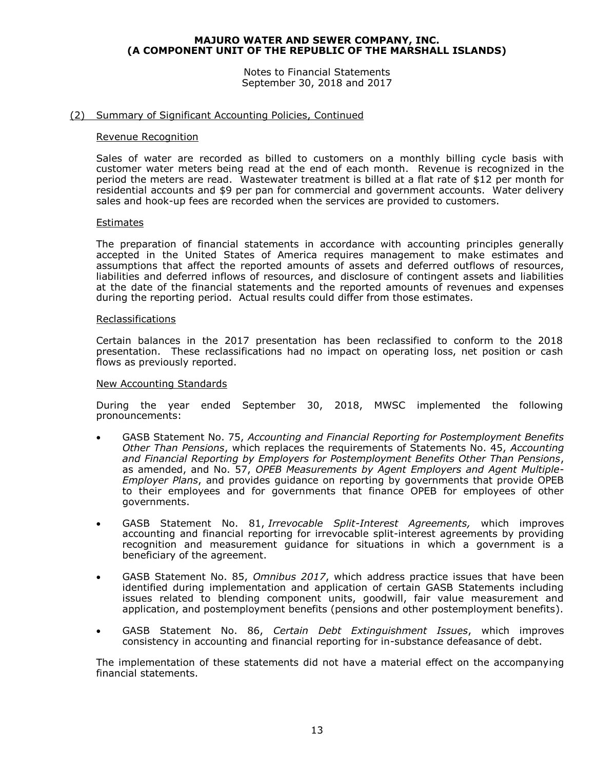Notes to Financial Statements September 30, 2018 and 2017

#### (2) Summary of Significant Accounting Policies, Continued

#### Revenue Recognition

Sales of water are recorded as billed to customers on a monthly billing cycle basis with customer water meters being read at the end of each month. Revenue is recognized in the period the meters are read. Wastewater treatment is billed at a flat rate of \$12 per month for residential accounts and \$9 per pan for commercial and government accounts. Water delivery sales and hook-up fees are recorded when the services are provided to customers.

#### Estimates

The preparation of financial statements in accordance with accounting principles generally accepted in the United States of America requires management to make estimates and assumptions that affect the reported amounts of assets and deferred outflows of resources, liabilities and deferred inflows of resources, and disclosure of contingent assets and liabilities at the date of the financial statements and the reported amounts of revenues and expenses during the reporting period. Actual results could differ from those estimates.

#### **Reclassifications**

Certain balances in the 2017 presentation has been reclassified to conform to the 2018 presentation. These reclassifications had no impact on operating loss, net position or cash flows as previously reported.

#### New Accounting Standards

During the year ended September 30, 2018, MWSC implemented the following pronouncements:

- GASB Statement No. 75, *Accounting and Financial Reporting for Postemployment Benefits Other Than Pensions*, which replaces the requirements of Statements No. 45, *Accounting and Financial Reporting by Employers for Postemployment Benefits Other Than Pensions*, as amended, and No. 57, *OPEB Measurements by Agent Employers and Agent Multiple-Employer Plans*, and provides guidance on reporting by governments that provide OPEB to their employees and for governments that finance OPEB for employees of other governments.
- GASB Statement No. 81, *Irrevocable Split-Interest Agreements,* which improves accounting and financial reporting for irrevocable split-interest agreements by providing recognition and measurement guidance for situations in which a government is a beneficiary of the agreement.
- GASB Statement No. 85, *Omnibus 2017*, which address practice issues that have been identified during implementation and application of certain GASB Statements including issues related to blending component units, goodwill, fair value measurement and application, and postemployment benefits (pensions and other postemployment benefits).
- GASB Statement No. 86, *Certain Debt Extinguishment Issues*, which improves consistency in accounting and financial reporting for in-substance defeasance of debt.

The implementation of these statements did not have a material effect on the accompanying financial statements.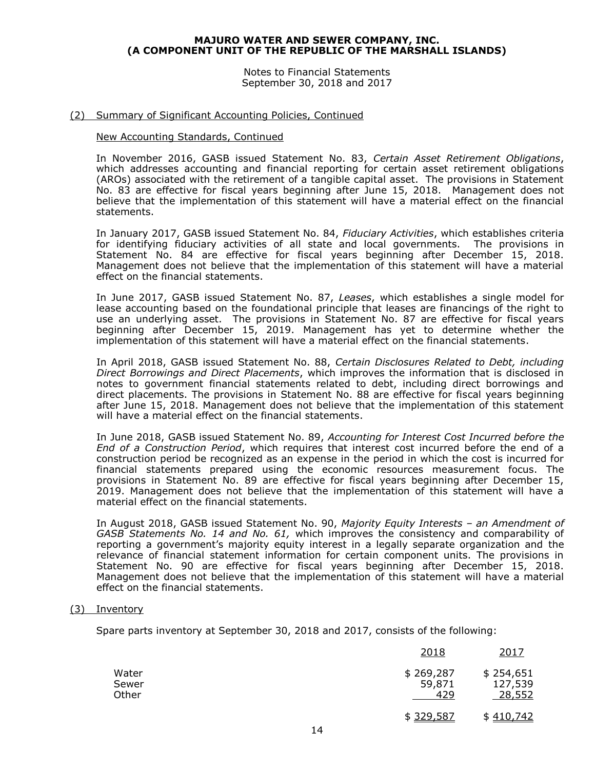Notes to Financial Statements September 30, 2018 and 2017

#### (2) Summary of Significant Accounting Policies, Continued

#### New Accounting Standards, Continued

In November 2016, GASB issued Statement No. 83, *Certain Asset Retirement Obligations*, which addresses accounting and financial reporting for certain asset retirement obligations (AROs) associated with the retirement of a tangible capital asset. The provisions in Statement No. 83 are effective for fiscal years beginning after June 15, 2018. Management does not believe that the implementation of this statement will have a material effect on the financial statements.

In January 2017, GASB issued Statement No. 84, *Fiduciary Activities*, which establishes criteria for identifying fiduciary activities of all state and local governments. The provisions in Statement No. 84 are effective for fiscal years beginning after December 15, 2018. Management does not believe that the implementation of this statement will have a material effect on the financial statements.

In June 2017, GASB issued Statement No. 87, *Leases*, which establishes a single model for lease accounting based on the foundational principle that leases are financings of the right to use an underlying asset. The provisions in Statement No. 87 are effective for fiscal years beginning after December 15, 2019. Management has yet to determine whether the implementation of this statement will have a material effect on the financial statements.

In April 2018, GASB issued Statement No. 88, *Certain Disclosures Related to Debt, including Direct Borrowings and Direct Placements*, which improves the information that is disclosed in notes to government financial statements related to debt, including direct borrowings and direct placements. The provisions in Statement No. 88 are effective for fiscal years beginning after June 15, 2018. Management does not believe that the implementation of this statement will have a material effect on the financial statements.

In June 2018, GASB issued Statement No. 89, *Accounting for Interest Cost Incurred before the End of a Construction Period*, which requires that interest cost incurred before the end of a construction period be recognized as an expense in the period in which the cost is incurred for financial statements prepared using the economic resources measurement focus. The provisions in Statement No. 89 are effective for fiscal years beginning after December 15, 2019. Management does not believe that the implementation of this statement will have a material effect on the financial statements.

In August 2018, GASB issued Statement No. 90, *Majority Equity Interests – an Amendment of GASB Statements No. 14 and No. 61,* which improves the consistency and comparability of reporting a government's majority equity interest in a legally separate organization and the relevance of financial statement information for certain component units. The provisions in Statement No. 90 are effective for fiscal years beginning after December 15, 2018. Management does not believe that the implementation of this statement will have a material effect on the financial statements.

#### (3) Inventory

Spare parts inventory at September 30, 2018 and 2017, consists of the following:

|                         | 2018                       | 2017                           |
|-------------------------|----------------------------|--------------------------------|
| Water<br>Sewer<br>Other | \$269,287<br>59,871<br>429 | \$254,651<br>127,539<br>28,552 |
|                         | \$329,587                  | \$410,742                      |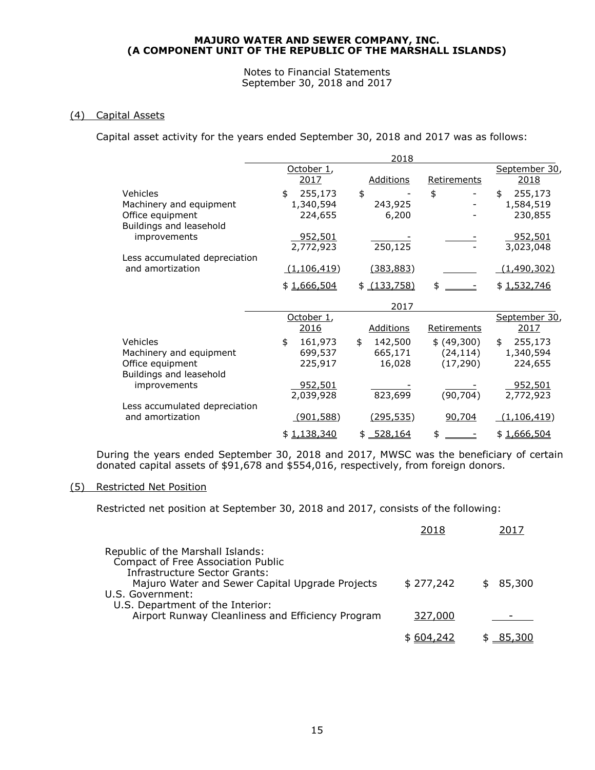Notes to Financial Statements September 30, 2018 and 2017

# (4) Capital Assets

Capital asset activity for the years ended September 30, 2018 and 2017 was as follows:

|                               |                   | 2018             |             |                       |
|-------------------------------|-------------------|------------------|-------------|-----------------------|
|                               | October 1,        |                  |             | September 30,         |
|                               | 2017              | <b>Additions</b> | Retirements | 2018                  |
| Vehicles                      | 255,173<br>\$     | \$               | \$          | \$<br>255,173         |
| Machinery and equipment       | 1,340,594         | 243,925          |             | 1,584,519             |
| Office equipment              | 224,655           | 6,200            |             | 230,855               |
| Buildings and leasehold       |                   |                  |             |                       |
| improvements                  | 952,501           |                  |             | 952,501               |
|                               | 2,772,923         | 250,125          |             | 3,023,048             |
| Less accumulated depreciation |                   |                  |             |                       |
| and amortization              | (1, 106, 419)     | (383, 883)       |             | (1,490,302)           |
|                               | \$1,666,504       | \$ (133,758)     | \$          | \$1,532,746           |
|                               |                   |                  |             |                       |
|                               |                   |                  |             |                       |
|                               | <u>October 1,</u> | 2017             |             |                       |
|                               | <u>2016</u>       | <b>Additions</b> | Retirements | September 30,<br>2017 |
| Vehicles                      | 161,973<br>\$     | \$<br>142,500    | \$ (49,300) | \$<br>255,173         |
| Machinery and equipment       | 699,537           | 665,171          | (24, 114)   | 1,340,594             |
| Office equipment              | 225,917           | 16,028           | (17, 290)   | 224,655               |
| Buildings and leasehold       |                   |                  |             |                       |
| improvements                  | <u>952,501</u>    |                  |             | <u>952,501</u>        |
|                               | 2,039,928         | 823,699          | (90, 704)   | 2,772,923             |
| Less accumulated depreciation |                   |                  |             |                       |
| and amortization              | (901, 588)        | (295, 535)       | 90,704      | (1, 106, 419)         |

During the years ended September 30, 2018 and 2017, MWSC was the beneficiary of certain donated capital assets of \$91,678 and \$554,016, respectively, from foreign donors.

# (5) Restricted Net Position

Restricted net position at September 30, 2018 and 2017, consists of the following:

|                                                                                                                 | 2018      | 2017          |
|-----------------------------------------------------------------------------------------------------------------|-----------|---------------|
| Republic of the Marshall Islands:<br><b>Compact of Free Association Public</b><br>Infrastructure Sector Grants: |           |               |
| Majuro Water and Sewer Capital Upgrade Projects<br>U.S. Government:<br>U.S. Department of the Interior:         | \$277,242 | 85,300<br>\$. |
| Airport Runway Cleanliness and Efficiency Program                                                               | 327,000   |               |
|                                                                                                                 | \$604,242 | 85,300        |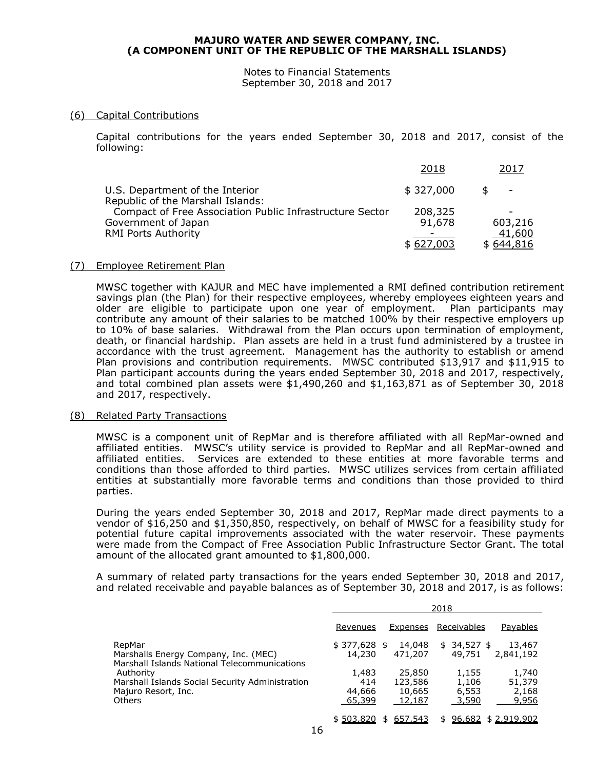Notes to Financial Statements September 30, 2018 and 2017

#### (6) Capital Contributions

Capital contributions for the years ended September 30, 2018 and 2017, consist of the following:

|                                                                      | 2018      | 2017                 |
|----------------------------------------------------------------------|-----------|----------------------|
| U.S. Department of the Interior<br>Republic of the Marshall Islands: | \$327,000 | \$<br>$\blacksquare$ |
| Compact of Free Association Public Infrastructure Sector             | 208,325   |                      |
| Government of Japan                                                  | 91,678    | 603,216              |
| <b>RMI Ports Authority</b>                                           |           | 41,600               |
|                                                                      | \$627,003 | \$644,816            |

#### (7) Employee Retirement Plan

MWSC together with KAJUR and MEC have implemented a RMI defined contribution retirement savings plan (the Plan) for their respective employees, whereby employees eighteen years and older are eligible to participate upon one year of employment. Plan participants may contribute any amount of their salaries to be matched 100% by their respective employers up to 10% of base salaries. Withdrawal from the Plan occurs upon termination of employment, death, or financial hardship. Plan assets are held in a trust fund administered by a trustee in accordance with the trust agreement. Management has the authority to establish or amend Plan provisions and contribution requirements. MWSC contributed \$13,917 and \$11,915 to Plan participant accounts during the years ended September 30, 2018 and 2017, respectively, and total combined plan assets were \$1,490,260 and \$1,163,871 as of September 30, 2018 and 2017, respectively.

#### (8) Related Party Transactions

MWSC is a component unit of RepMar and is therefore affiliated with all RepMar-owned and affiliated entities. MWSC's utility service is provided to RepMar and all RepMar-owned and affiliated entities. Services are extended to these entities at more favorable terms and conditions than those afforded to third parties. MWSC utilizes services from certain affiliated entities at substantially more favorable terms and conditions than those provided to third parties.

During the years ended September 30, 2018 and 2017, RepMar made direct payments to a vendor of \$16,250 and \$1,350,850, respectively, on behalf of MWSC for a feasibility study for potential future capital improvements associated with the water reservoir. These payments were made from the Compact of Free Association Public Infrastructure Sector Grant. The total amount of the allocated grant amounted to \$1,800,000.

A summary of related party transactions for the years ended September 30, 2018 and 2017, and related receivable and payable balances as of September 30, 2018 and 2017, is as follows:

|                                                                                                |                     |                         | 2018                   |                     |
|------------------------------------------------------------------------------------------------|---------------------|-------------------------|------------------------|---------------------|
|                                                                                                | Revenues            | Expenses                | Receivables            | Payables            |
| RepMar<br>Marshalls Energy Company, Inc. (MEC)<br>Marshall Islands National Telecommunications | \$377,628<br>14,230 | 14,048<br>\$<br>471,207 | $$34,527$ \$<br>49,751 | 13,467<br>2,841,192 |
| Authority<br>Marshall Islands Social Security Administration                                   | 1,483<br>414        | 25,850<br>123,586       | 1,155<br>1,106         | 1,740<br>51,379     |
| Majuro Resort, Inc.<br><b>Others</b>                                                           | 44,666<br>65,399    | 10,665<br>12,187        | 6,553<br>3,590         | 2,168<br>9,956      |
|                                                                                                | \$503,820           | 657,543<br>\$           | 96,682<br>\$           | \$ 2,919,902        |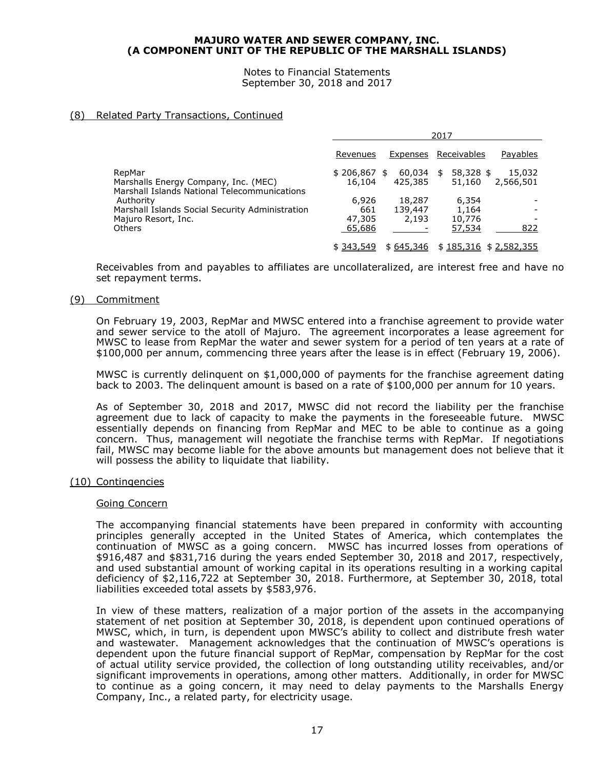Notes to Financial Statements September 30, 2018 and 2017

# (8) Related Party Transactions, Continued

|                                                                                      | 2017      |              |                         |           |
|--------------------------------------------------------------------------------------|-----------|--------------|-------------------------|-----------|
|                                                                                      | Revenues  | Expenses     | Receivables             | Payables  |
| RepMar                                                                               | \$206,867 | 60,034<br>\$ | 58,328 \$<br>\$         | 15,032    |
| Marshalls Energy Company, Inc. (MEC)<br>Marshall Islands National Telecommunications | 16,104    | 425,385      | 51,160                  | 2,566,501 |
| Authority                                                                            | 6,926     | 18,287       | 6,354                   |           |
| Marshall Islands Social Security Administration                                      | 661       | 139,447      | 1,164                   |           |
| Majuro Resort, Inc.                                                                  | 47,305    | 2,193        | 10,776                  |           |
| <b>Others</b>                                                                        | 65,686    |              | 57,534                  | 822       |
|                                                                                      | \$343,549 | \$645,346    | $$185.316$ \$ 2.582.355 |           |

Receivables from and payables to affiliates are uncollateralized, are interest free and have no set repayment terms.

#### (9) Commitment

On February 19, 2003, RepMar and MWSC entered into a franchise agreement to provide water and sewer service to the atoll of Majuro. The agreement incorporates a lease agreement for MWSC to lease from RepMar the water and sewer system for a period of ten years at a rate of \$100,000 per annum, commencing three years after the lease is in effect (February 19, 2006).

MWSC is currently delinquent on \$1,000,000 of payments for the franchise agreement dating back to 2003. The delinquent amount is based on a rate of \$100,000 per annum for 10 years.

As of September 30, 2018 and 2017, MWSC did not record the liability per the franchise agreement due to lack of capacity to make the payments in the foreseeable future. MWSC essentially depends on financing from RepMar and MEC to be able to continue as a going concern. Thus, management will negotiate the franchise terms with RepMar. If negotiations fail, MWSC may become liable for the above amounts but management does not believe that it will possess the ability to liquidate that liability.

#### (10) Contingencies

#### Going Concern

The accompanying financial statements have been prepared in conformity with accounting principles generally accepted in the United States of America, which contemplates the continuation of MWSC as a going concern. MWSC has incurred losses from operations of \$916,487 and \$831,716 during the years ended September 30, 2018 and 2017, respectively, and used substantial amount of working capital in its operations resulting in a working capital deficiency of \$2,116,722 at September 30, 2018. Furthermore, at September 30, 2018, total liabilities exceeded total assets by \$583,976.

In view of these matters, realization of a major portion of the assets in the accompanying statement of net position at September 30, 2018, is dependent upon continued operations of MWSC, which, in turn, is dependent upon MWSC's ability to collect and distribute fresh water and wastewater. Management acknowledges that the continuation of MWSC's operations is dependent upon the future financial support of RepMar, compensation by RepMar for the cost of actual utility service provided, the collection of long outstanding utility receivables, and/or significant improvements in operations, among other matters. Additionally, in order for MWSC to continue as a going concern, it may need to delay payments to the Marshalls Energy Company, Inc., a related party, for electricity usage.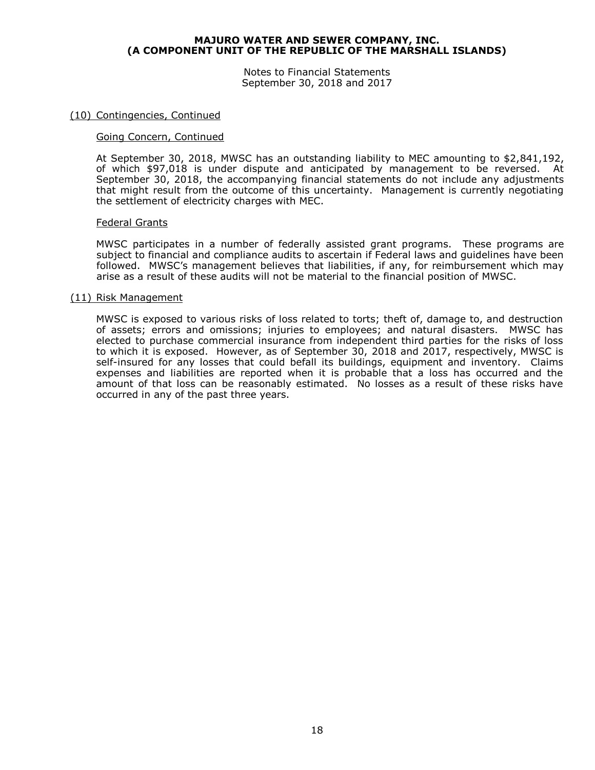Notes to Financial Statements September 30, 2018 and 2017

#### (10) Contingencies, Continued

#### Going Concern, Continued

At September 30, 2018, MWSC has an outstanding liability to MEC amounting to \$2,841,192, of which \$97,018 is under dispute and anticipated by management to be reversed. At September 30, 2018, the accompanying financial statements do not include any adjustments that might result from the outcome of this uncertainty. Management is currently negotiating the settlement of electricity charges with MEC.

#### Federal Grants

MWSC participates in a number of federally assisted grant programs. These programs are subject to financial and compliance audits to ascertain if Federal laws and guidelines have been followed. MWSC's management believes that liabilities, if any, for reimbursement which may arise as a result of these audits will not be material to the financial position of MWSC.

#### (11) Risk Management

MWSC is exposed to various risks of loss related to torts; theft of, damage to, and destruction of assets; errors and omissions; injuries to employees; and natural disasters. MWSC has elected to purchase commercial insurance from independent third parties for the risks of loss to which it is exposed. However, as of September 30, 2018 and 2017, respectively, MWSC is self-insured for any losses that could befall its buildings, equipment and inventory. Claims expenses and liabilities are reported when it is probable that a loss has occurred and the amount of that loss can be reasonably estimated. No losses as a result of these risks have occurred in any of the past three years.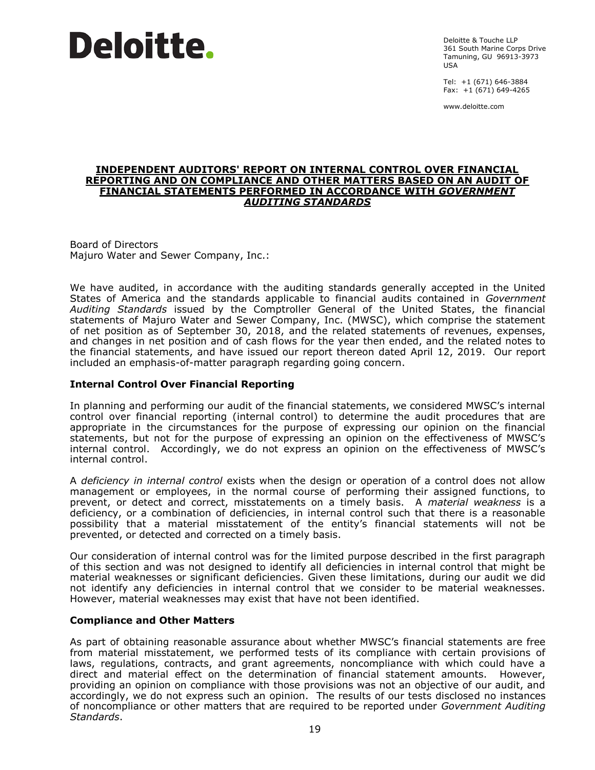# **Deloitte.**

Deloitte & Touche LLP 361 South Marine Corps Drive Tamuning, GU 96913-3973 USA

Tel: +1 (671) 646-3884 Fax: +1 (671) 649-4265

www.deloitte.com

#### **INDEPENDENT AUDITORS' REPORT ON INTERNAL CONTROL OVER FINANCIAL REPORTING AND ON COMPLIANCE AND OTHER MATTERS BASED ON AN AUDIT OF FINANCIAL STATEMENTS PERFORMED IN ACCORDANCE WITH** *GOVERNMENT AUDITING STANDARDS*

Board of Directors Majuro Water and Sewer Company, Inc.:

We have audited, in accordance with the auditing standards generally accepted in the United States of America and the standards applicable to financial audits contained in *Government Auditing Standards* issued by the Comptroller General of the United States, the financial statements of Majuro Water and Sewer Company, Inc. (MWSC), which comprise the statement of net position as of September 30, 2018, and the related statements of revenues, expenses, and changes in net position and of cash flows for the year then ended, and the related notes to the financial statements, and have issued our report thereon dated April 12, 2019. Our report included an emphasis-of-matter paragraph regarding going concern.

# **Internal Control Over Financial Reporting**

In planning and performing our audit of the financial statements, we considered MWSC's internal control over financial reporting (internal control) to determine the audit procedures that are appropriate in the circumstances for the purpose of expressing our opinion on the financial statements, but not for the purpose of expressing an opinion on the effectiveness of MWSC's internal control. Accordingly, we do not express an opinion on the effectiveness of MWSC's internal control.

A *deficiency in internal control* exists when the design or operation of a control does not allow management or employees, in the normal course of performing their assigned functions, to prevent, or detect and correct, misstatements on a timely basis. A *material weakness* is a deficiency, or a combination of deficiencies, in internal control such that there is a reasonable possibility that a material misstatement of the entity's financial statements will not be prevented, or detected and corrected on a timely basis.

Our consideration of internal control was for the limited purpose described in the first paragraph of this section and was not designed to identify all deficiencies in internal control that might be material weaknesses or significant deficiencies. Given these limitations, during our audit we did not identify any deficiencies in internal control that we consider to be material weaknesses. However, material weaknesses may exist that have not been identified.

#### **Compliance and Other Matters**

As part of obtaining reasonable assurance about whether MWSC's financial statements are free from material misstatement, we performed tests of its compliance with certain provisions of laws, regulations, contracts, and grant agreements, noncompliance with which could have a direct and material effect on the determination of financial statement amounts. However, providing an opinion on compliance with those provisions was not an objective of our audit, and accordingly, we do not express such an opinion. The results of our tests disclosed no instances of noncompliance or other matters that are required to be reported under *Government Auditing Standards*.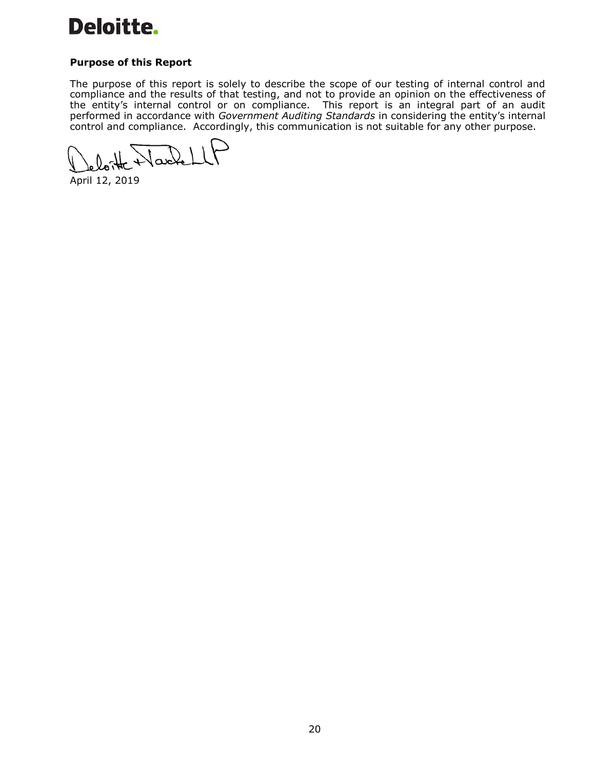# **Deloitte.**

# **Purpose of this Report**

The purpose of this report is solely to describe the scope of our testing of internal control and compliance and the results of that testing, and not to provide an opinion on the effectiveness of the entity's internal control or on compliance. This report is an integral part of an audit performed in accordance with *Government Auditing Standards* in considering the entity's internal control and compliance. Accordingly, this communication is not suitable for any other purpose.

Varket

April 12, 2019